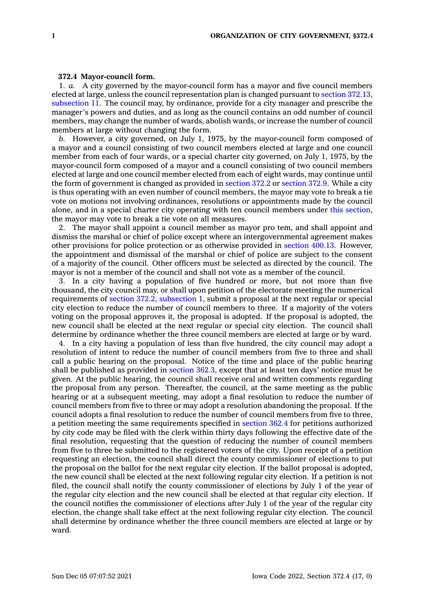## **372.4 Mayor-council form.**

1. *a.* A city governed by the mayor-council form has <sup>a</sup> mayor and five council members elected at large, unless the council representation plan is changed pursuant to section [372.13,](https://www.legis.iowa.gov/docs/code/372.13.pdf) [subsection](https://www.legis.iowa.gov/docs/code/372.13.pdf) 11. The council may, by ordinance, provide for <sup>a</sup> city manager and prescribe the manager's powers and duties, and as long as the council contains an odd number of council members, may change the number of wards, abolish wards, or increase the number of council members at large without changing the form.

*b.* However, <sup>a</sup> city governed, on July 1, 1975, by the mayor-council form composed of <sup>a</sup> mayor and <sup>a</sup> council consisting of two council members elected at large and one council member from each of four wards, or <sup>a</sup> special charter city governed, on July 1, 1975, by the mayor-council form composed of <sup>a</sup> mayor and <sup>a</sup> council consisting of two council members elected at large and one council member elected from each of eight wards, may continue until the form of government is changed as provided in [section](https://www.legis.iowa.gov/docs/code/372.2.pdf) 372.2 or [section](https://www.legis.iowa.gov/docs/code/372.9.pdf) 372.9. While <sup>a</sup> city is thus operating with an even number of council members, the mayor may vote to break <sup>a</sup> tie vote on motions not involving ordinances, resolutions or appointments made by the council alone, and in <sup>a</sup> special charter city operating with ten council members under this [section](https://www.legis.iowa.gov/docs/code/372.4.pdf), the mayor may vote to break <sup>a</sup> tie vote on all measures.

2. The mayor shall appoint <sup>a</sup> council member as mayor pro tem, and shall appoint and dismiss the marshal or chief of police except where an intergovernmental agreement makes other provisions for police protection or as otherwise provided in [section](https://www.legis.iowa.gov/docs/code/400.13.pdf) 400.13. However, the appointment and dismissal of the marshal or chief of police are subject to the consent of <sup>a</sup> majority of the council. Other officers must be selected as directed by the council. The mayor is not <sup>a</sup> member of the council and shall not vote as <sup>a</sup> member of the council.

3. In <sup>a</sup> city having <sup>a</sup> population of five hundred or more, but not more than five thousand, the city council may, or shall upon petition of the electorate meeting the numerical requirements of section 372.2, [subsection](https://www.legis.iowa.gov/docs/code/372.2.pdf) 1, submit <sup>a</sup> proposal at the next regular or special city election to reduce the number of council members to three. If <sup>a</sup> majority of the voters voting on the proposal approves it, the proposal is adopted. If the proposal is adopted, the new council shall be elected at the next regular or special city election. The council shall determine by ordinance whether the three council members are elected at large or by ward.

4. In <sup>a</sup> city having <sup>a</sup> population of less than five hundred, the city council may adopt <sup>a</sup> resolution of intent to reduce the number of council members from five to three and shall call <sup>a</sup> public hearing on the proposal. Notice of the time and place of the public hearing shall be published as provided in [section](https://www.legis.iowa.gov/docs/code/362.3.pdf) 362.3, except that at least ten days' notice must be given. At the public hearing, the council shall receive oral and written comments regarding the proposal from any person. Thereafter, the council, at the same meeting as the public hearing or at <sup>a</sup> subsequent meeting, may adopt <sup>a</sup> final resolution to reduce the number of council members from five to three or may adopt <sup>a</sup> resolution abandoning the proposal. If the council adopts <sup>a</sup> final resolution to reduce the number of council members from five to three, <sup>a</sup> petition meeting the same requirements specified in [section](https://www.legis.iowa.gov/docs/code/362.4.pdf) 362.4 for petitions authorized by city code may be filed with the clerk within thirty days following the effective date of the final resolution, requesting that the question of reducing the number of council members from five to three be submitted to the registered voters of the city. Upon receipt of <sup>a</sup> petition requesting an election, the council shall direct the county commissioner of elections to put the proposal on the ballot for the next regular city election. If the ballot proposal is adopted, the new council shall be elected at the next following regular city election. If <sup>a</sup> petition is not filed, the council shall notify the county commissioner of elections by July 1 of the year of the regular city election and the new council shall be elected at that regular city election. If the council notifies the commissioner of elections after July 1 of the year of the regular city election, the change shall take effect at the next following regular city election. The council shall determine by ordinance whether the three council members are elected at large or by ward.